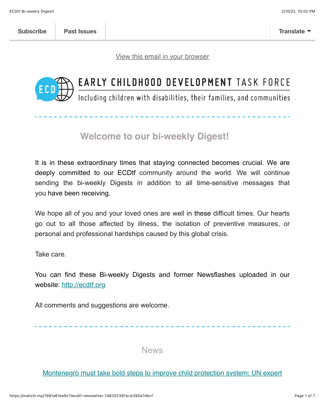[View this email in your browser](https://mailchi.mp/1991a61ee9c7/ecdtf-newsletter-14820239?e=b390e7dbcf)



# EARLY CHILDHOOD DEVELOPMENT TASK FORCE

Including children with disabilities, their families, and communities

# **Welcome to our bi-weekly Digest!**

It is in these extraordinary times that staying connected becomes crucial. We are deeply committed to our ECDtf community around the world. We will continue sending the bi-weekly Digests in addition to all time-sensitive messages that you have been receiving.

We hope all of you and your loved ones are well in these difficult times. Our hearts go out to all those affected by illness, the isolation of preventive measures, or personal and professional hardships caused by this global crisis.

Take care.

You can find these Bi-weekly Digests and former Newsflashes uploaded in our website: [http://ecdtf.org](http://ecdtf.org/)

All comments and suggestions are welcome.

News

#### [Montenegro must take bold steps to improve child protection system: UN expert](https://www.devdiscourse.com/article/law-order/1733470-montenegro-must-take-bold-steps-to-improve-child-protection-system-un-expert)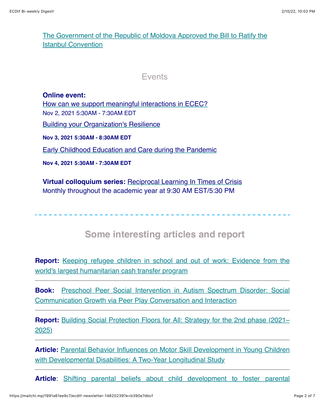#### [The Government of the Republic of Moldova Approved the Bill to Ratify the](https://www.ipn.md/en/cabinet-approves-bill-to-ratify-istanbul-convention-7967_1084746.html) Istanbul Convention

#### Events

**Online event:**  [How can we support meaningful interactions in ECEC?](https://events.zoom.us/e/view/9mHnToKoQt2z_bKWYNOUEQ?ct=t(EMAIL_CAMPAIGN_September_MU_2021)) Nov 2, 2021 5:30AM - 7:30AM EDT [Building your Organization's Resilience](https://events.zoom.us/e/view/Pblt2Nk_REOlUnlKTyzl6A?ct=t(EMAIL_CAMPAIGN_September_MU_2021)) **Nov 3, 2021 5:30AM - 8:30AM EDT** [Early Childhood Education and Care during the Pandemic](https://events.zoom.us/e/view/LTqel7X4RpenLQ8F209oNg?ct=t(EMAIL_CAMPAIGN_September_MU_2021)) **Nov 4, 2021 5:30AM - 7:30AM EDT**

**Virtual colloquium series:** [Reciprocal Learning In Times of Crisis](https://www.yorku.ca/edu/reciprocal-learning-in-times-of-crisis/) Monthly throughout the academic year at 9:30 AM EST/5:30 PM

## **Some interesting articles and report**

**Report:** [Keeping refugee children in school and out of work: Evidence from the](https://socialprotection.org/discover/publications/keeping-refugee-children-school-and-out-work-evidence-worlds-largest) world's largest humanitarian cash transfer program

**Book:** [Preschool Peer Social Intervention in Autism Spectrum Disorder: Social](https://books.google.com/books?hl=en&lr=lang_en&id=Q2tEEAAAQBAJ&oi=fnd&pg=PR1&ots=IK9rPDiZ1K&sig=11OEZtnUjJA0-RqjKZfwENqeLXw#v=onepage&q&f=false) Communication Growth via Peer Play Conversation and Interaction

**Report:** [Building Social Protection Floors for All: Strategy for the 2nd phase \(2021–](https://socialprotection.org/discover/publications/building-social-protection-floors-all-strategy-2nd-phase-2021%E2%80%932025) 2025)

**Article:** [Parental Behavior Influences on Motor Skill Development in Young Children](https://link.springer.com/article/10.1007/s10578-021-01263-x) with Developmental Disabilities: A Two-Year Longitudinal Study

**Article**[: Shifting parental beliefs about child development to foster parental](https://www.nature.com/articles/s41467-021-25964-y)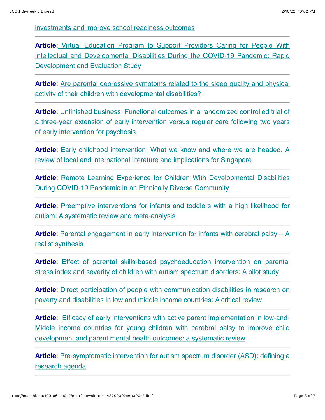[investments and improve school readiness outcomes](https://www.nature.com/articles/s41467-021-25964-y)

**Article[:](https://mental.jmir.org/2021/10/e28933/)** Virtual Education Program to Support Providers Caring for People With [Intellectual and Developmental Disabilities During the COVID-19 Pandemic: Rapid](https://mental.jmir.org/2021/10/e28933/) Development and Evaluation Study

**Article**[: Are parental depressive symptoms related to the sleep quality and physical](https://www.sciencedirect.com/science/article/pii/S0891422221002407) activity of their children with developmental disabilities?

**Article**: Unfinished business: Functional outcomes in a randomized controlled trial of [a three-year extension of early intervention versus regular care following two years](https://onlinelibrary.wiley.com/doi/abs/10.1111/acps.13377) of early intervention for psychosis

**Article**[: Early childhood intervention: What we know and where we are headed. A](https://repository.nie.edu.sg/handle/10497/23405) review of local and international literature and implications for Singapore

**Article:** Remote Learning Experience for Children With Developmental Disabilities During COVID-19 Pandemic in an Ethnically Diverse Community

**Article**[: Preemptive interventions for infants and toddlers with a high likelihood for](https://journals.sagepub.com/doi/abs/10.1177/13623613211050433) autism: A systematic review and meta-analysis

**Article**[: Parental engagement in early intervention for infants with cerebral palsy – A](https://onlinelibrary.wiley.com/doi/abs/10.1111/cch.12916) realist synthesis

**Article**: Effect of parental skills-based psychoeducation intervention on parental [stress index and severity of children with autism spectrum disorders: A pilot study](https://www.sciencedirect.com/science/article/pii/S2049080121008232)

**Article**[: Direct participation of people with communication disabilities in research on](https://journals.plos.org/plosone/article?id=10.1371/journal.pone.0258575) poverty and disabilities in low and middle income countries: A critical review

**Article**: Efficacy of early interventions with active parent implementation in low-and-[Middle income countries for young children with cerebral palsy to improve child](https://www.tandfonline.com/doi/abs/10.1080/09638288.2021.1989063) development and parent mental health outcomes: a systematic review

**Article**[: Pre-symptomatic intervention for autism spectrum disorder \(ASD\): defining a](https://jneurodevdisorders.biomedcentral.com/articles/10.1186/s11689-021-09393-y) research agenda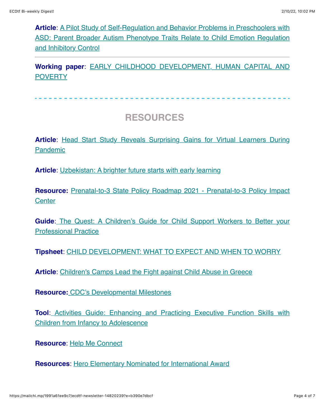**Article**: A Pilot Study of Self-Regulation and Behavior Problems in Preschoolers with [ASD: Parent Broader Autism Phenotype Traits Relate to Child Emotion Regulation](https://link.springer.com/article/10.1007/s10803-021-05322-z) and Inhibitory Control

**Working paper**[: EARLY CHILDHOOD DEVELOPMENT, HUMAN CAPITAL AND](https://www.nber.org/system/files/working_papers/w29362/w29362.pdf) **POVERTY** 

# **RESOURCES**

**Article[: Head Start Study Reveals Surprising Gains for Virtual Learners During](https://www.the74million.org/article/head-start-study-reveals-surprising-gains-for-virtual-learners-during-pandemic/)** Pandemic

**Article**: [Uzbekistan: A brighter future starts with early learning](https://www.globalpartnership.org/results/stories-of-change/uzbekistan-brighter-future-starts-early-learning?utm_medium=gpe_email_en&utm_source=news_weekly&utm_name=2021_10_15)

**Resource:** [Prenatal-to-3 State Policy Roadmap 2021 - Prenatal-to-3 Policy Impact](https://pn3policy.org/pn-3-state-policy-roadmap-2021/) **Center** 

**Guide:** [The Quest: A Children's Guide for Child Support Workers to Better your](https://childhub.org/en/online-learning-materials/quest) Professional Practice

**Tipsheet**: [CHILD DEVELOPMENT: WHAT TO EXPECT AND WHEN TO WORRY](https://www.inclusivechildcare.org/resource-library/tipsheet/child-development-what-expect-and-when-worry)

**Article**: [Children's Camps Lead the Fight against Child Abuse in Greece](https://childhub.org/en/child-protection-news/childrens-camps-lead-fight-against-child-abuse-greece)

**Resource:** [CDC's Developmental Milestones](https://www.cdc.gov/ncbddd/actearly/milestones/index.html)

**Tool**: [Activities Guide: Enhancing and Practicing Executive Function Skills with](https://developingchild.harvard.edu/resources/activities-guide-enhancing-and-practicing-executive-function-skills-with-children-from-infancy-to-adolescence/) Children from Infancy to Adolescence

**Resource**: [Help Me Connect](https://helpmeconnect.web.health.state.mn.us/HelpMeConnect/)

**Resources**: [Hero Elementary Nominated for International Award](https://pbskids.org/heroelementary?utm_content=&utm_medium=email&utm_name=&utm_source=govdelivery&utm_term=)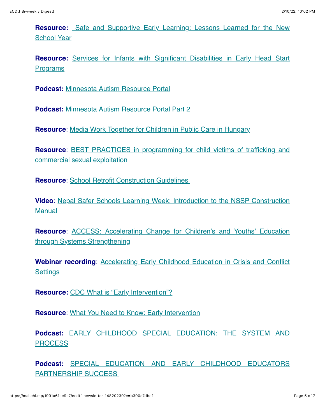**Resource:** [Safe and Supportive Early Learning: Lessons Learned for the New](https://safesupportivelearning.ed.gov/sites/default/files/2021-09/LessonsfromtheField_Session12-EarlyChildhood_Slides_2021.09.09_FINAL.pdf?utm_content=&utm_medium=email&utm_name=&utm_source=govdelivery&utm_term=) School Year

**Resource:** [Services for Infants with Significant Disabilities in Early Head Start](https://eclkc.ohs.acf.hhs.gov/publication/services-infants-significant-disabilities-early-head-start-programs?utm_content=&utm_medium=email&utm_name=&utm_source=govdelivery&utm_term=) **Programs** 

**Podcast:** [Minnesota Autism Resource Portal](https://www.inclusivechildcare.org/podcast-inclusion-matters/minnesota-autism-resource-portal-part-1)

**Podcast:** [Minnesota Autism Resource Portal Part 2](https://www.inclusivechildcare.org/podcast-inclusion-matters/minnesota-autism-resource-portal-part-2)

**Resource**: [Media Work Together for Children in Public Care in Hungary](https://childhub.org/en/child-protection-multimedia-resources/media-work-together-children-public-care-hungary)

**Resource[: BEST PRACTICES in programming for child victims of trafficking and](https://www.astra.rs/en/best-practices-in-programming-for-child-victims-of-trafficking-and-commercial-sexual-exploitation/)** commercial sexual exploitation

**Resource: School Retrofit Construction Guidelines** 

**Video**[: Nepal Safer Schools Learning Week: Introduction to the NSSP Construction](https://www.youtube.com/watch?v=kntmHPnIMLM) Manual

**Resource**[: ACCESS: Accelerating Change for Children's and Youths' Education](https://access-education.auckland.ac.nz/approach/) through Systems Strengthening

**Webinar recording**[: Accelerating Early Childhood Education in Crisis and Conflict](https://unicef-education.medium.com/webinar-accelerating-early-childhood-education-in-crisis-and-conflict-settings-61fe96deae10) **Settings** 

**Resource:** [CDC What is "Early Intervention"?](https://www.cdc.gov/ncbddd/actearly/parents/states.html)

**Resource**: [What You Need to Know: Early Intervention](https://www.zerotothree.org/resources/2335-what-you-need-to-know-early-intervention)

**Podcast:** [EARLY CHILDHOOD SPECIAL EDUCATION: THE SYSTEM AND](https://www.inclusivechildcare.org/podcast-inclusion-matters/early-childhood-special-education-system-and-process) **PROCESS** 

**Podcast:** [SPECIAL EDUCATION AND EARLY CHILDHOOD EDUCATORS](https://www.inclusivechildcare.org/podcast-inclusion-matters/special-education-and-early-childhood-educators-partnership-success) PARTNERSHIP SUCCESS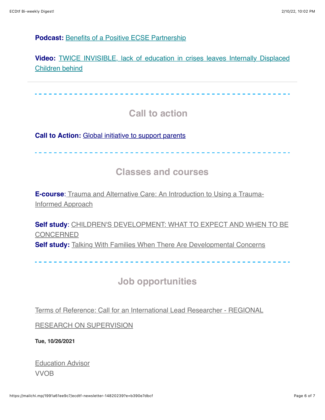#### **Podcast:** [Benefits of a Positive ECSE Partnership](https://www.inclusivechildcare.org/podcast-inclusion-matters/benefits-positive-ecse-partnership)

**Video:** [TWICE INVISIBLE, lack of education in crises leaves Internally Displaced](https://www.youtube.com/watch?v=1RHGlmECh8c) Children behind

 **Call to action Call to Action:** [Global initiative to support parents](https://covidaction.ecdan.org/parenting) ----------- **Classes and courses E-course[:](https://childhub.org/en/online-learning-materials/trauma-and-alternative-care)** [Trauma and Alternative Care: An Introduction to Using a Trauma-](https://childhub.org/en/online-learning-materials/trauma-and-alternative-care)

**Self study**[: CHILDREN'S DEVELOPMENT: WHAT TO EXPECT AND WHEN TO BE](https://www.inclusivechildcare.org/resource-library/course/childrens-development-what-expect-and-when-be-concerned) **CONCERNED Self study:** [Talking With Families When There Are Developmental Concerns](https://www.inclusivechildcare.org/resource-library/course/talking-families-when-there-are-developmental-concerns)

 **Job opportunities** 

[Terms of Reference: Call for an International Lead Researcher - REGIONAL](https://childhub.org/en/child-protection-vacancies-jobs-positions/terms-reference-call-international-lead-researcher-regional-research-supervision)

RESEARCH ON SUPERVISION

**Tue, 10/26/2021**

[Education Advisor](https://inee.org/jobs/education-advisor-5) VVOB

Informed Approach